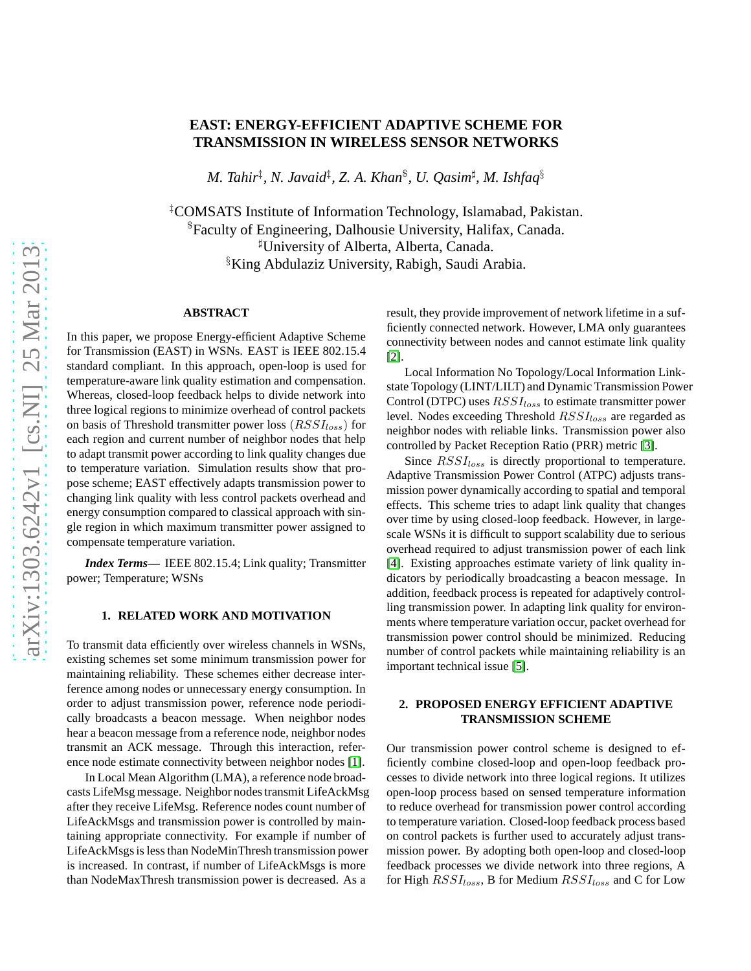# **EAST: ENERGY-EFFICIENT ADAPTIVE SCHEME FOR TRANSMISSION IN WIRELESS SENSOR NETWORKS**

*M. Tahir*‡ *, N. Javaid*‡ *, Z. A. Khan*\$ *, U. Qasim*<sup>♯</sup> *, M. Ishfaq*§

‡COMSATS Institute of Information Technology, Islamabad, Pakistan. \$Faculty of Engineering, Dalhousie University, Halifax, Canada. <sup>♯</sup>University of Alberta, Alberta, Canada. §King Abdulaziz University, Rabigh, Saudi Arabia.

#### **ABSTRACT**

In this paper, we propose Energy-efficient Adaptive Scheme for Transmission (EAST) in WSNs. EAST is IEEE 802.15.4 standard compliant. In this approach, open-loop is used for temperature-aware link quality estimation and compensation. Whereas, closed-loop feedback helps to divide network into three logical regions to minimize overhead of control packets on basis of Threshold transmitter power loss  $(RSSI_{loss})$  for each region and current number of neighbor nodes that help to adapt transmit power according to link quality changes due to temperature variation. Simulation results show that propose scheme; EAST effectively adapts transmission power to changing link quality with less control packets overhead and energy consumption compared to classical approach with single region in which maximum transmitter power assigned to compensate temperature variation.

*Index Terms***—** IEEE 802.15.4; Link quality; Transmitter power; Temperature; WSNs

## **1. RELATED WORK AND MOTIVATION**

To transmit data efficiently over wireless channels in WSNs, existing schemes set some minimum transmission power for maintaining reliability. These schemes either decrease interference among nodes or unnecessary energy consumption. In order to adjust transmission power, reference node periodically broadcasts a beacon message. When neighbor nodes hear a beacon message from a reference node, neighbor nodes transmit an ACK message. Through this interaction, reference node estimate connectivity between neighbor nodes [\[1\]](#page-3-0).

In Local Mean Algorithm (LMA), a reference node broadcasts LifeMsg message. Neighbor nodes transmit LifeAckMsg after they receive LifeMsg. Reference nodes count number of LifeAckMsgs and transmission power is controlled by maintaining appropriate connectivity. For example if number of LifeAckMsgs is less than NodeMinThresh transmission power is increased. In contrast, if number of LifeAckMsgs is more than NodeMaxThresh transmission power is decreased. As a

result, they provide improvement of network lifetime in a sufficiently connected network. However, LMA only guarantees connectivity between nodes and cannot estimate link quality [\[2\]](#page-3-1).

Local Information No Topology/Local Information Linkstate Topology (LINT/LILT) and Dynamic Transmission Power Control (DTPC) uses  $RSSI_{loss}$  to estimate transmitter power level. Nodes exceeding Threshold  $RSSI_{loss}$  are regarded as neighbor nodes with reliable links. Transmission power also controlled by Packet Reception Ratio (PRR) metric [\[3\]](#page-3-2).

Since  $RSSI_{loss}$  is directly proportional to temperature. Adaptive Transmission Power Control (ATPC) adjusts transmission power dynamically according to spatial and temporal effects. This scheme tries to adapt link quality that changes over time by using closed-loop feedback. However, in largescale WSNs it is difficult to support scalability due to serious overhead required to adjust transmission power of each link [\[4\]](#page-3-3). Existing approaches estimate variety of link quality indicators by periodically broadcasting a beacon message. In addition, feedback process is repeated for adaptively controlling transmission power. In adapting link quality for environments where temperature variation occur, packet overhead for transmission power control should be minimized. Reducing number of control packets while maintaining reliability is an important technical issue [\[5\]](#page-3-4).

# **2. PROPOSED ENERGY EFFICIENT ADAPTIVE TRANSMISSION SCHEME**

Our transmission power control scheme is designed to efficiently combine closed-loop and open-loop feedback processes to divide network into three logical regions. It utilizes open-loop process based on sensed temperature information to reduce overhead for transmission power control according to temperature variation. Closed-loop feedback process based on control packets is further used to accurately adjust transmission power. By adopting both open-loop and closed-loop feedback processes we divide network into three regions, A for High  $RSSI_{loss}$ , B for Medium  $RSSI_{loss}$  and C for Low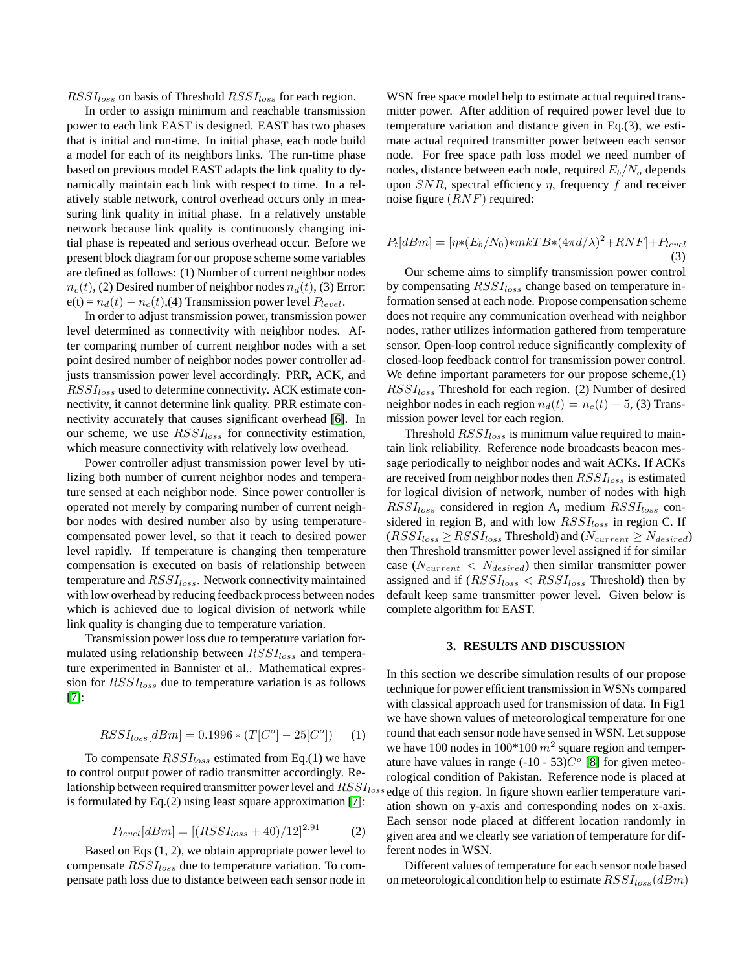$RSSI_{loss}$  on basis of Threshold  $RSSI_{loss}$  for each region.

In order to assign minimum and reachable transmission power to each link EAST is designed. EAST has two phases that is initial and run-time. In initial phase, each node build a model for each of its neighbors links. The run-time phase based on previous model EAST adapts the link quality to dynamically maintain each link with respect to time. In a relatively stable network, control overhead occurs only in measuring link quality in initial phase. In a relatively unstable network because link quality is continuously changing initial phase is repeated and serious overhead occur. Before we present block diagram for our propose scheme some variables are defined as follows: (1) Number of current neighbor nodes  $n_c(t)$ , (2) Desired number of neighbor nodes  $n_d(t)$ , (3) Error:  $e(t) = n_d(t) - n_c(t)$ , (4) Transmission power level  $P_{level}$ .

In order to adjust transmission power, transmission power level determined as connectivity with neighbor nodes. After comparing number of current neighbor nodes with a set point desired number of neighbor nodes power controller adjusts transmission power level accordingly. PRR, ACK, and  $RSSI_{loss}$  used to determine connectivity. ACK estimate connectivity, it cannot determine link quality. PRR estimate connectivity accurately that causes significant overhead [\[6\]](#page-3-5). In our scheme, we use  $RSSI_{loss}$  for connectivity estimation, which measure connectivity with relatively low overhead.

Power controller adjust transmission power level by utilizing both number of current neighbor nodes and temperature sensed at each neighbor node. Since power controller is operated not merely by comparing number of current neighbor nodes with desired number also by using temperaturecompensated power level, so that it reach to desired power level rapidly. If temperature is changing then temperature compensation is executed on basis of relationship between temperature and  $RSSI_{loss}$ . Network connectivity maintained with low overhead by reducing feedback process between nodes which is achieved due to logical division of network while link quality is changing due to temperature variation.

Transmission power loss due to temperature variation formulated using relationship between  $RSSI_{loss}$  and temperature experimented in Bannister et al.. Mathematical expression for  $RSSI_{loss}$  due to temperature variation is as follows [\[7\]](#page-3-6):

$$
RSSI_{loss}[dBm] = 0.1996 * (T[C^{o}] - 25[C^{o}]) \tag{1}
$$

To compensate  $RSSI_{loss}$  estimated from Eq.(1) we have to control output power of radio transmitter accordingly. Relationship between required transmitter power level and  $RSSI_{loss}$ is formulated by Eq.(2) using least square approximation [\[7\]](#page-3-6):

$$
P_{level}[dBm] = [(RSSI_{loss} + 40)/12]^{2.91}
$$
 (2)

Based on Eqs (1, 2), we obtain appropriate power level to compensate  $RSSI_{loss}$  due to temperature variation. To compensate path loss due to distance between each sensor node in WSN free space model help to estimate actual required transmitter power. After addition of required power level due to temperature variation and distance given in Eq.(3), we estimate actual required transmitter power between each sensor node. For free space path loss model we need number of nodes, distance between each node, required  $E_b/N_o$  depends upon  $SNR$ , spectral efficiency  $\eta$ , frequency f and receiver noise figure  $(RNF)$  required:

$$
P_t[dBm] = [\eta * (E_b/N_0) * mkT B * (4\pi d/\lambda)^2 + RNF] + P_{level}
$$
\n(3)

Our scheme aims to simplify transmission power control by compensating  $RSSI_{loss}$  change based on temperature information sensed at each node. Propose compensation scheme does not require any communication overhead with neighbor nodes, rather utilizes information gathered from temperature sensor. Open-loop control reduce significantly complexity of closed-loop feedback control for transmission power control. We define important parameters for our propose scheme, (1)  $RSSI_{loss}$  Threshold for each region. (2) Number of desired neighbor nodes in each region  $n_d(t) = n_c(t) - 5$ , (3) Transmission power level for each region.

Threshold  $RSSI_{loss}$  is minimum value required to maintain link reliability. Reference node broadcasts beacon message periodically to neighbor nodes and wait ACKs. If ACKs are received from neighbor nodes then  $RSSI_{loss}$  is estimated for logical division of network, number of nodes with high  $RSSI_{loss}$  considered in region A, medium  $RSSI_{loss}$  considered in region B, and with low  $RSSI_{loss}$  in region C. If  $(RSSI_{loss} \geq RSSI_{loss}$  Threshold) and  $(N_{current} \geq N_{desired})$ then Threshold transmitter power level assigned if for similar case ( $N_{current}$  <  $N_{desired}$ ) then similar transmitter power assigned and if  $(RSSI_{loss} < RSSI_{loss}$  Threshold) then by default keep same transmitter power level. Given below is complete algorithm for EAST.

## **3. RESULTS AND DISCUSSION**

In this section we describe simulation results of our propose technique for power efficient transmission in WSNs compared with classical approach used for transmission of data. In Fig1 we have shown values of meteorological temperature for one round that each sensor node have sensed in WSN. Let suppose we have 100 nodes in 100 $*$ 100  $m^2$  square region and temperature have values in range  $(-10 - 53)C^{\circ}$  [\[8\]](#page-3-7) for given meteorological condition of Pakistan. Reference node is placed at edge of this region. In figure shown earlier temperature variation shown on y-axis and corresponding nodes on x-axis. Each sensor node placed at different location randomly in given area and we clearly see variation of temperature for different nodes in WSN.

Different values of temperature for each sensor node based on meteorological condition help to estimate  $RSSI_{loss}(dBm)$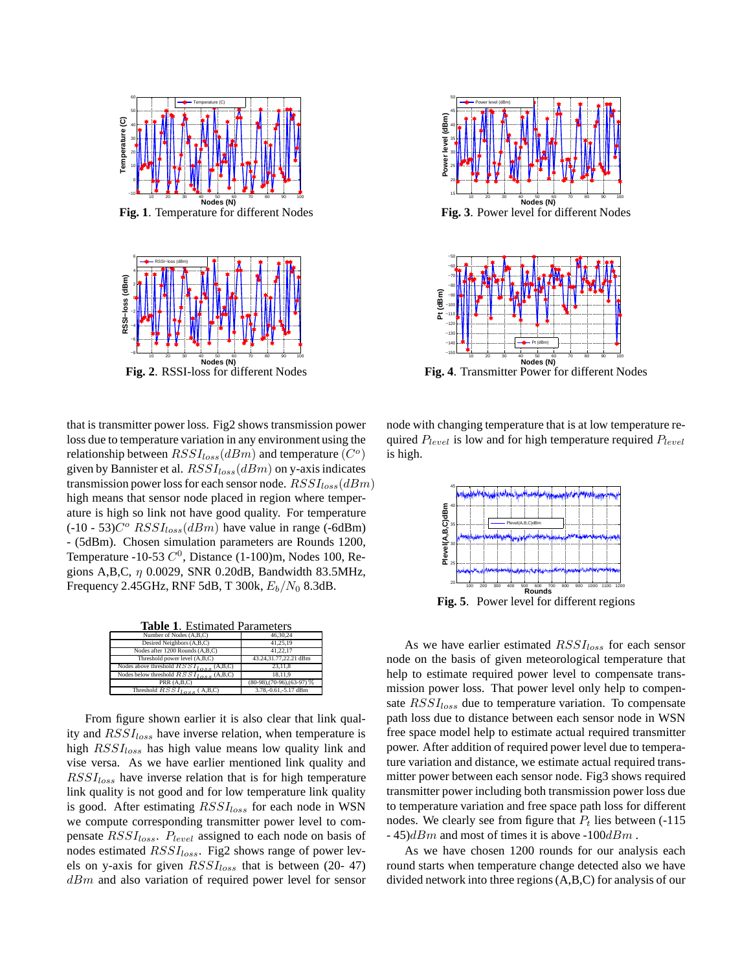

**Fig. 1**. Temperature for different Nodes



**Fig. 2**. RSSI-loss for different Nodes

that is transmitter power loss. Fig2 shows transmission power loss due to temperature variation in any environment using the relationship between  $RSSI_{loss}(dBm)$  and temperature  $(C<sup>o</sup>)$ given by Bannister et al.  $RSSI_{loss}(dBm)$  on y-axis indicates transmission power loss for each sensor node.  $RSSI_{loss}(dBm)$ high means that sensor node placed in region where temperature is high so link not have good quality. For temperature  $(-10 - 53)C^{\circ}$   $RSSI_{loss}(dBm)$  have value in range (-6dBm) - (5dBm). Chosen simulation parameters are Rounds 1200, Temperature -10-53  $C^0$ , Distance (1-100)m, Nodes 100, Regions A,B,C,  $\eta$  0.0029, SNR 0.20dB, Bandwidth 83.5MHz, Frequency 2.45GHz, RNF 5dB, T 300k,  $E_b/N_0$  8.3dB.

| <b>Table 1. Estimated Parameters</b>        |                                     |
|---------------------------------------------|-------------------------------------|
| Number of Nodes (A,B,C)                     | 46.30.24                            |
| Desired Neighbors (A,B,C)                   | 41.25.19                            |
| Nodes after 1200 Rounds (A.B.C)             | 41.22.17                            |
| Threshold power level (A,B,C)               | 43.24,31.77,22.21 dBm               |
| Nodes above threshold $RSSI_{loss}$ (A,B,C) | 23.11.8                             |
| Nodes below threshold $RSSI_{loss}$ (A,B,C) | 18.11.9                             |
| PRR (A.B.C)                                 | $(80-98)$ , $(70-96)$ , $(63-97)$ % |
| Threshold $RSSI_{1}$ = = = (A.B.C)          | 3.78.-0.61.-5.17 dBm                |

From figure shown earlier it is also clear that link quality and  $RSSI_{loss}$  have inverse relation, when temperature is high  $RSSI_{loss}$  has high value means low quality link and vise versa. As we have earlier mentioned link quality and  $RSSI_{loss}$  have inverse relation that is for high temperature link quality is not good and for low temperature link quality is good. After estimating  $RSSI_{loss}$  for each node in WSN we compute corresponding transmitter power level to compensate  $RSSI_{loss}$ .  $P_{level}$  assigned to each node on basis of nodes estimated  $RSSI_{loss}$ . Fig2 shows range of power levels on y-axis for given  $RSSI_{loss}$  that is between (20- 47)  $dBm$  and also variation of required power level for sensor



**Fig. 3**. Power level for different Nodes



**Fig. 4**. Transmitter Power for different Nodes

node with changing temperature that is at low temperature required  $P_{level}$  is low and for high temperature required  $P_{level}$ is high.



**Fig. 5**. Power level for different regions

As we have earlier estimated  $RSSI_{loss}$  for each sensor node on the basis of given meteorological temperature that help to estimate required power level to compensate transmission power loss. That power level only help to compensate  $RSSI_{loss}$  due to temperature variation. To compensate path loss due to distance between each sensor node in WSN free space model help to estimate actual required transmitter power. After addition of required power level due to temperature variation and distance, we estimate actual required transmitter power between each sensor node. Fig3 shows required transmitter power including both transmission power loss due to temperature variation and free space path loss for different nodes. We clearly see from figure that  $P_t$  lies between (-115)  $-45$ ) $dBm$  and most of times it is above  $-100dBm$ .

As we have chosen 1200 rounds for our analysis each round starts when temperature change detected also we have divided network into three regions (A,B,C) for analysis of our